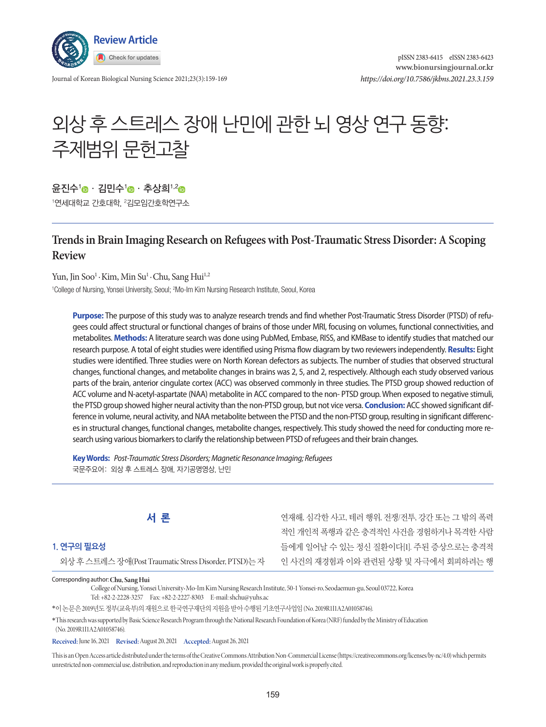

Journal of Korean Biological Nursing Science 2021;23(3):159-169

# 외상 후 스트레스 장애 난민에 관한 뇌 영상 연구 동향: 주제범위 문헌고찰

유진수<sup>1</sup> · 김민수<sup>1</sup> · 추상희<sup>1,2</sup> ·

'연세대학교 간호대학, <sup>2</sup>김모임간호학연구소

# **Trends in Brain Imaging Research on Refugees with Post-Traumatic Stress Disorder: A Scoping Review**

Yun, Jin Soo<sup>1</sup> · Kim, Min Su<sup>1</sup> · Chu, Sang Hui<sup>1,2</sup> <sup>1</sup>College of Nursing, Yonsei University, Seoul; <sup>2</sup>Mo-Im Kim Nursing Research Institute, Seoul, Korea

**Purpose:** The purpose of this study was to analyze research trends and find whether Post-Traumatic Stress Disorder (PTSD) of refugees could affect structural or functional changes of brains of those under MRI, focusing on volumes, functional connectivities, and metabolites. **Methods:** A literature search was done using PubMed, Embase, RISS, and KMBase to identify studies that matched our research purpose. A total of eight studies were identified using Prisma flow diagram by two reviewers independently. **Results:** Eight studies were identified. Three studies were on North Korean defectors as subjects. The number of studies that observed structural changes, functional changes, and metabolite changes in brains was 2, 5, and 2, respectively. Although each study observed various parts of the brain, anterior cingulate cortex (ACC) was observed commonly in three studies. The PTSD group showed reduction of ACC volume and N-acetyl-aspartate (NAA) metabolite in ACC compared to the non- PTSD group. When exposed to negative stimuli, the PTSD group showed higher neural activity than the non-PTSD group, but not vice versa. **Conclusion:** ACC showed significant difference in volume, neural activity, and NAA metabolite between the PTSD and the non-PTSD group, resulting in significant differences in structural changes, functional changes, metabolite changes, respectively. This study showed the need for conducting more research using various biomarkers to clarify the relationship between PTSD of refugees and their brain changes.

**Key Words:** *Post-Traumatic Stress Disorders; Magnetic Resonance Imaging; Refugees* 국문주요어: 외상 후 스트레스 장애, 자기공명영상, 난민

**서 론**

## **1. 연구의 필요성**

외상후스트레스장애(Post Traumatic Stress Disorder, PTSD)는자

연재해, 심각한 사고, 테러 행위, 전쟁/전투, 강간 또는 그 밖의 폭력 적인 개인적 폭행과 같은 충격적인 사건을 경험하거나 목격한 사람 들에게 일어날 수 있는 정신 질환이다[1]. 주된 증상으로는 충격적 인 사건의 재경험과 이와 관련된 상황 및 자극에서 회피하려는 행

Corresponding author:**Chu, Sang Hui**

College of Nursing, Yonsei University•Mo-Im Kim Nursing Research Institute, 50-1 Yonsei-ro, Seodaemun-gu, Seoul 03722, Korea Tel: +82-2-2228-3257 Fax: +82-2-2227-8303 E-mail: shchu@yuhs.ac

\*이논문은 2019년도정부(교육부)의재원으로한국연구재단의지원을받아수행된기초연구사업임 (No. 2019R1I1A2A01058746).

\* This research was supported by Basic Science Research Program through the National Research Foundation of Korea (NRF) funded by the Ministry of Education (No. 2019R1I1A2A01058746).

**Received:** June 16, 2021 **Revised:** August 20, 2021 **Accepted:** August 26, 2021

This is an Open Access article distributed under the terms of the Creative Commons Attribution Non-Commercial License (https://creativecommons.org/licenses/by-nc/4.0) which permits unrestricted non-commercial use, distribution, and reproduction in any medium, provided the original work is properly cited.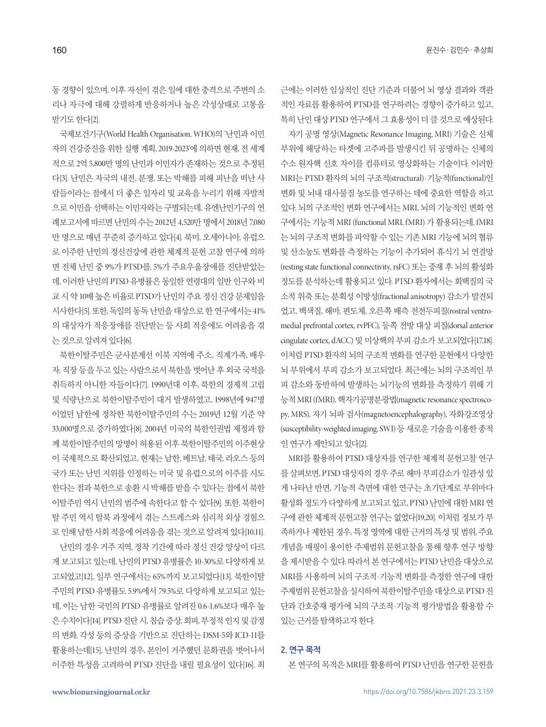동 경향이 있으며, 이후 자신이 겪은 일에 대한 충격으로 주변의 소 리나 자극에 대해 강렬하게 반응하거나 높은 각성상태로 고통을 받기도한다[2].

국제보건기구(World Health Organisation, WHO)의 '난민과 이민 자의 건강증진을 위한 실행 계획, 2019-2023'에 의하면 현재, 전 세계 적으로 2억 5,800만 명의 난민과 이민자가 존재하는 것으로 추정된 다[3]. 난민은 자국의 내전, 분쟁, 또는 박해를 피해 피난을 떠난 사 람들이라는 점에서 더 좋은 일자리 및 교육을 누리기 위해 자발적 으로 이민을 선택하는 이민자와는 구별되는데, 유엔난민기구의 연 례보고서에 따르면 난민의 수는 2012년 4,520만 명에서 2018년 7,080 만 명으로 매년 꾸준히 증가하고 있다[4]. 북미, 오세아니아, 유럽으 로 이주한 난민의 정신건강에 관한 체계적 문헌 고찰 연구에 의하 면 전체 난민 중 9%가 PTSD를, 5%가 주요우울장애를 진단받았는 데, 이러한 난민의 PTSD 유병률은 동일한 연령대의 일반 인구와 비 교시약 10배높은비율로 PTSD가난민의주요정신건강문제임을 시사한다[5]. 또한, 독일의동독난민을대상으로한연구에서는 41% 의 대상자가 적응장애를 진단받는 등 사회 적응에도 어려움을 겪 는것으로알려져있다[6].

북한이탈주민은 군사분계선 이북 지역에 주소, 직계가족, 배우 자, 직장 등을 두고 있는 사람으로서 북한을 벗어난 후 외국 국적을 취득하지 아니한 자들이다[7]. 1990년대 이후, 북한의 경제적 고립 및 식량난으로 북한이탈주민이 대거 발생하였고, 1998년에 947명 이었던 남한에 정착한 북한이탈주민의 수는 2019년 12월 기준 약 33,000명으로 증가하였다[8]. 2004년 미국의 북한인권법 제정과 함 께 북한이탈주민의 망명이 허용된 이후 북한이탈주민의 이주현상 이 국제적으로 확산되었고, 현재는 남한, 베트남, 태국, 라오스 등의 국가 또는 난민 지위를 인정하는 미국 및 유럽으로의 이주를 시도 한다는 점과 북한으로 송환 시 박해를 받을 수 있다는 점에서 북한 이탈주민 역시 난민의 범주에 속한다고 할 수 있다[9]. 또한, 북한이 탈 주민 역시 탈북 과정에서 겪는 스트레스와 심리적 외상 경험으 로 인해 남한 사회 적응에 어려움을 겪는 것으로 알려져 있다[10,11].

난민의 경우 거주 지역, 정착 기간에 따라 정신 건강 양상이 다르 게 보고되고 있는데, 난민의 PTSD 유병률은 10-30%로 다양하게 보 고되었고[12], 일부 연구에서는 65%까지 보고되었다[13]. 북한이탈 주민의 PTSD 유병률도 5.9%에서 79.5%로 다양하게 보고되고 있는 데, 이는 남한 국민의 PTSD 유병률로 알려진 0.6-1.6%보다 매우 높 은 수치이다[14]. PTSD 진단 시, 침습 증상, 회피, 부정적 인지 및 감정 의 변화, 각성 등의 증상을 기반으로 진단하는 DSM-5와 ICD-11를 활용하는데[15], 난민의 경우, 본인이 거주했던 문화권을 벗어나서 이주한 특성을 고려하여 PTSD 진단을 내릴 필요성이 있다[16]. 최

근에는 이러한 임상적인 진단 기준과 더불어 뇌 영상 결과와 객관 적인 자료를 활용하여 PTSD를 연구하려는 경향이 증가하고 있고, 특히난민대상 PTSD 연구에서그효용성이더클것으로예상된다. 자기 공명 영상(Magnetic Resonance Imaging, MRI) 기술은 신체

부위에 해당하는 타겟에 고주파를 발생시킨 뒤 공명하는 신체의 수소 원자핵 신호 차이를 컴퓨터로 영상화하는 기술이다. 이러한 MRI는 PTSD 환자의 뇌의 구조적(structural) ·기능적(functional)인 변화 및 뇌내 대사물질 농도를 연구하는 데에 중요한 역할을 하고 있다. 뇌의 구조적인 변화 연구에서는 MRI, 뇌의 기능적인 변화 연 구에서는 기능적 MRI (functional MRI, fMRI) 가 활용되는데, fMRI 는 뇌의 구조적 변화를 파악할 수 있는 기존 MRI 기능에 뇌의 혈류 및 산소농도 변화를 측정하는 기능이 추가되어 휴식기 뇌 연결망 (resting state functional connectivity, rsFC) 또는 중재 후 뇌의 활성화 정도를 분석하는데 활용되고 있다. PTSD 환자에서는 회백질의 국 소적 위축 또는 분획성 이방성(fractional anisotropy) 감소가 발견되 었고, 백색질, 해마, 편도체, 오른쪽 배측 전전두피질(rostral ventromedial prefrontal cortex, rvPFC), 등쪽 전방 대상 피질(dorsal anterior cingulate cortex, dACC) 및 미상핵의 부피 감소가 보고되었다[17,18]. 이처럼 PTSD 환자의 뇌의 구조적 변화를 연구한 문헌에서 다양한 뇌 부위에서 부피 감소가 보고되었다. 최근에는 뇌의 구조적인 부 피 감소와 동반하여 발생하는 뇌기능의 변화를 측정하기 위해 기 능적 MRI (fMRI), 핵자기공명분광법(magnetic resonance spectroscopy, MRS), 자기 뇌파 검사(magnetoencephalography), 자화강조영상 (susceptibility-weighted imaging, SWI) 등새로운기술을이용한종적 인연구가제안되고있다[2].

MRI를 활용하여 PTSD 대상자를 연구한 체계적 문헌고찰 연구 를 살펴보면, PTSD 대상자의 경우 주로 해마 부피감소가 일관성 있 게 나타난 반면, 기능적 측면에 대한 연구는 초기단계로 부위마다 활성화 정도가 다양하게 보고되고 있고, PTSD 난민에 대한 MRI 연 구에 관한 체계적 문헌고찰 연구는 없었다[19,20]. 이처럼 정보가 부 족하거나 제한된 경우, 특정 영역에 대한 근거의 특성 및 범위, 주요 개념을 매핑이 용이한 주제범위 문헌고찰을 통해 향후 연구 방향 을 제시받을 수 있다. 따라서 본 연구에서는 PTSD 난민을 대상으로 MRI를 사용하여 뇌의 구조적·기능적 변화를 측정한 연구에 대한 주제범위문헌고찰을실시하여북한이탈주민을대상으로 PTSD 진 단과 간호중재 평가에 뇌의 구조적·기능적 평가방법을 활용할 수 있는근거를탐색하고자한다.

## **2. 연구 목적**

본 연구의 목적은 MRI를 활용하여 PTSD 난민을 연구한 문헌을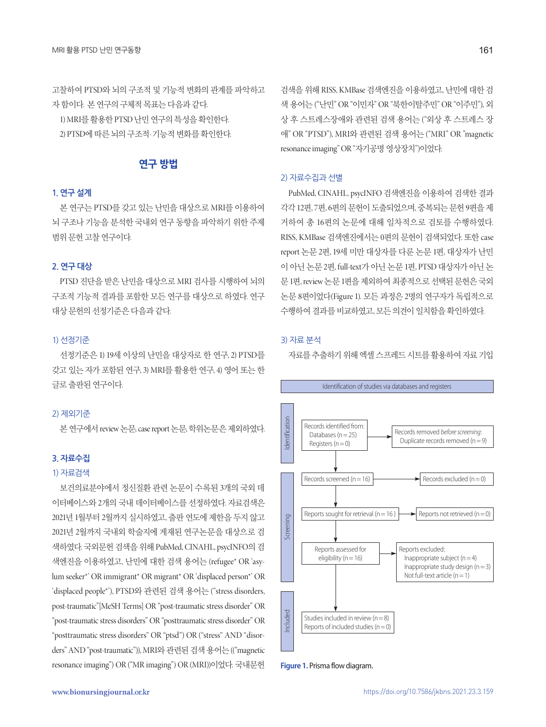고찰하여 PTSD와 뇌의 구조적 및 기능적 변화의 관계를 파악하고 자함이다. 본연구의구체적목표는다음과같다.

1) MRI를 활용한 PTSD 난민 연구의 특성을 확인한다. 2) PTSD에 따른 뇌의 구조적·기능적 변화를 확인한다.

# **연구 방법**

# **1. 연구 설계**

본 연구는 PTSD를 갖고 있는 난민을 대상으로 MRI를 이용하여 뇌 구조나 기능을 분석한 국내외 연구 동향을 파악하기 위한 주제 범위문헌고찰연구이다.

#### **2. 연구 대상**

PTSD 진단을 받은 난민을 대상으로 MRI 검사를 시행하여 뇌의 구조적 기능적 결과를 포함한 모든 연구를 대상으로 하였다. 연구 대상문헌의선정기준은다음과같다.

## 1) 선정기준

선정기준은 1) 19세 이상의 난민을 대상자로 한 연구, 2) PTSD를 갖고 있는 자가 포함된 연구, 3) MRI를 활용한 연구, 4) 영어 또는 한 글로 출판된 연구이다.

#### 2) 제외기준

본연구에서 review 논문, case report 논문, 학위논문은제외하였다.

## **3. 자료수집**

#### 1) 자료검색

보건의료분야에서 정신질환 관련 논문이 수록된 3개의 국외 데 이터베이스와 2개의 국내 데이터베이스를 선정하였다. 자료검색은 2021년 1월부터 2월까지 실시하였고, 출판 연도에 제한을 두지 않고 2021년 2월까지 국내외 학술지에 게재된 연구논문을 대상으로 검 색하였다. 국외문헌 검색을 위해 PubMed, CINAHL, psycINFO의 검 색엔진을 이용하였고, 난민에 대한 검색 용어는 (refugee\* OR 'asylum seeker\*' OR immigrant\* OR migrant\* OR 'displaced person\*' OR 'displaced people\*'), PTSD와 관련된 검색 용어는 ("stress disorders, post-traumatic"[MeSH Terms] OR "post-traumatic stress disorder" OR "post-traumatic stress disorders" OR "posttraumatic stress disorder" OR "posttraumatic stress disorders" OR "ptsd") OR ("stress" AND "disorders" AND "post-traumatic")), MRI와관련된검색용어는 (("magnetic resonance imaging") OR ("MR imaging") OR (MRI))이었다. 국내문헌

검색을 위해 RISS, KMBase 검색엔진을 이용하였고, 난민에 대한 검 색 용어는 ("난민" OR "이민자" OR "북한이탈주민" OR "이주민"), 외 상 후 스트레스장애와 관련된 검색 용어는 ("외상 후 스트레스 장 애" OR "PTSD"), MRI와 관련된 검색 용어는 ("MRI" OR "magnetic resonance imaging" OR "자기공명 영상장치")이었다.

#### 2) 자료수집과 선별

PubMed, CINAHL, psycINFO 검색엔진을 이용하여 검색한 결과 각각 12편, 7편, 6편의문헌이도출되었으며, 중복되는문헌 9편을제 거하여 총 16편의 논문에 대해 일차적으로 검토를 수행하였다. RISS, KMBase 검색엔진에서는 0편의 문헌이 검색되었다. 또한 case report 논문 2편, 19세 미만 대상자를 다룬 논문 1편, 대상자가 난민 이 아닌 논문 2편, full-text가 아닌 논문 1편, PTSD 대상자가 아닌 논 문 1편, review 논문 1편을 제외하여 최종적으로 선택된 문헌은 국외 논문 8편이었다(Figure 1). 모든 과정은 2명의 연구자가 독립적으로 수행하여 결과를 비교하였고, 모든 의견이 일치함을 확인하였다.

#### 3) 자료 분석

자료를 추출하기 위해 엑셀 스프레드 시트를 활용하여 자료 기입



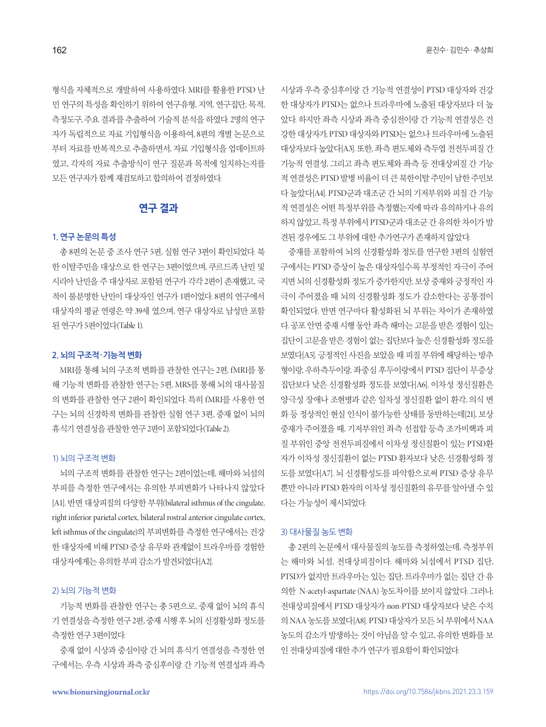형식을 자체적으로 개발하여 사용하였다. MRI를 활용한 PTSD 난 민 연구의 특성을 확인하기 위하여 연구유형, 지역, 연구집단, 목적, 측정도구, 주요 결과를 추출하여 기술적 분석을 하였다. 2명의 연구 자가 독립적으로 자료 기입형식을 이용하여, 8편의 개별 논문으로 부터 자료를 반복적으로 추출하면서, 자료 기입형식을 업데이트하 였고, 각자의 자료 추출방식이 연구 질문과 목적에 일치하는지를 모든 연구자가 함께 재검토하고 합의하여 결정하였다.

# **연구 결과**

## **1. 연구 논문의 특성**

총 8편의 논문 중 조사 연구 5편, 실험 연구 3편이 확인되었다. 북 한 이탈주민을 대상으로 한 연구는 3편이었으며, 쿠르드족 난민 및 시리아 난민을 주 대상자로 포함된 연구가 각각 2편이 존재했고, 국 적이 불분명한 난민이 대상자인 연구가 1편이었다. 8편의 연구에서 대상자의 평균 연령은 약 39세 였으며, 연구 대상자로 남성만 포함 된 연구가 5편이었다(Table 1).

#### **2. 뇌의 구조적·기능적 변화**

MRI를 통해 뇌의 구조적 변화를 관찰한 연구는 2편, fMRI를 통 해 기능적 변화를 관찰한 연구는 5편, MRS를 통해 뇌의 대사물질 의 변화를 관찰한 연구 2편이 확인되었다. 특히 fMRI를 사용한 연 구는 뇌의 신경학적 변화를 관찰한 실험 연구 3편, 중재 없이 뇌의 휴식기 연결성을 관찰한 연구 2편이 포함되었다(Table 2).

#### 1) 뇌의 구조적 변화

뇌의 구조적 변화를 관찰한 연구는 2편이었는데, 해마와 뇌섬의 부피를 측정한 연구에서는 유의한 부피변화가 나타나지 않았다 [A1]. 반면 대상피질의 다양한 부위(bilateral isthmus of the cingulate, right inferior parietal cortex, bilateral rostral anterior cingulate cortex, left isthmus of the cingulate)의 부피변화를 측정한 연구에서는 건강 한 대상자에 비해 PTSD 증상 유무와 관계없이 트라우마를 경험한 대상자에게는유의한부피감소가발견되었다[A2].

#### 2) 뇌의 기능적 변화

기능적 변화를 관찰한 연구는 총 5편으로, 중재 없이 뇌의 휴식 기 연결성을 측정한 연구 2편, 중재 시행 후 뇌의 신경활성화 정도를 측정한연구 3편이었다.

중재 없이 시상과 중심이랑 간 뇌의 휴식기 연결성을 측정한 연 구에서는, 우측 시상과 좌측 중심후이랑 간 기능적 연결성과 좌측

시상과 우측 중심후이랑 간 기능적 연결성이 PTSD 대상자와 건강 한 대상자가 PTSD는 없으나 트라우마에 노출된 대상자보다 더 높 았다. 하지만 좌측 시상과 좌측 중심전이랑 간 기능적 연결성은 건 강한 대상자가, PTSD 대상자와 PTSD는 없으나 트라우마에 노출된 대상자보다 높았다[A3]. 또한, 좌측 편도체와 측두엽 전전두피질 간 기능적 연결성, 그리고 좌측 편도체와 좌측 등 전대상피질 간 기능 적연결성은 PTSD 발병비율이더큰북한이탈주민이남한주민보 다 높았다[A4]. PTSD군과 대조군 간 뇌의 기저부위와 피질 간 기능 적 연결성은 어떤 특정부위를 측정했는지에 따라 유의하거나 유의 하지않았고, 특정부위에서 PTSD군과대조군간유의한차이가발 견된 경우에도 그 부위에 대한 추가연구가 존재하지 않았다.

중재를 포함하여 뇌의 신경활성화 정도를 연구한 3편의 실험연 구에서는 PTSD 증상이 높은 대상자일수록 부정적인 자극이 주어 지면 뇌의 신경활성화 정도가 증가한지만, 보상 중재와 긍정적인 자 극이 주어졌을 때 뇌의 신경활성화 정도가 감소한다는 공통점이 확인되었다. 반면 연구마다 활성화된 뇌 부위는 차이가 존재하였 다. 공포안면중재시행동안좌측해마는고문을받은경험이있는 집단이 고문을 받은 경험이 없는 집단보다 높은 신경활성화 정도를 보였다[A5]. 긍정적인 사진을 보았을 때 피질 부위에 해당하는 방추 형이랑, 우하측두이랑, 좌중심 후두이랑에서 PTSD 집단이 무증상 집단보다 낮은 신경활성화 정도를 보였다[A6]. 이차성 정신질환은 양극성 장애나 조현병과 같은 일차성 정신질환 없이 환각, 의식 변 화 등 정상적인 현실 인식이 불가능한 상태를 동반하는데[21], 보상 중재가 주어졌을 때, 기저부위인 좌측 선접합 등측 조가비핵과 피 질 부위인 중앙 전전두피질에서 이차성 정신질환이 있는 PTSD환 자가 이차성 정신질환이 없는 PTSD 환자보다 낮은 신경활성화 정 도를 보였다[A7]. 뇌 신경활성도를 파악함으로써 PTSD 증상 유무 뿐만 아니라 PTSD 환자의 이차성 정신질환의 유무를 알아낼 수 있 다는가능성이제시되었다.

#### 3) 대사물질 농도 변화

총 2편의 논문에서 대사물질의 농도를 측정하였는데, 측정부위 는 해마와 뇌섬, 전대상피질이다. 해마와 뇌섬에서 PTSD 집단, PTSD가 없지만 트라우마는 있는 집단, 트라우마가 없는 집단 간 유 의한 N-acetyl-aspartate (NAA) 농도차이를 보이지 않았다. 그러나, 전대상피질에서 PTSD 대상자가 non-PTSD 대상자보다 낮은 수치 의 NAA 농도를 보였다[A8]. PTSD 대상자가 모든 뇌 부위에서 NAA 농도의 감소가 발생하는 것이 아님을 알 수 있고, 유의한 변화를 보 인전대상피질에대한추가연구가필요함이확인되었다.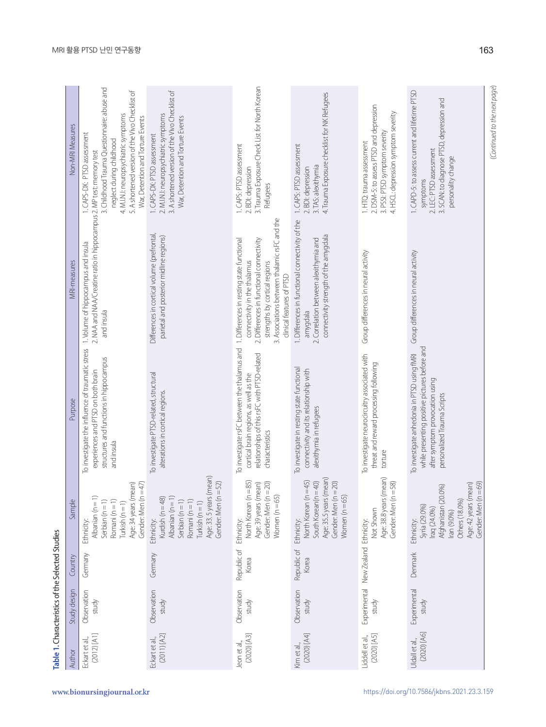| Non-MRI Measures | 3. Childhood Trauma Questionnaire: abuse and<br>5. A shortened version of the Vivo Checklist of<br>4. M.I.N.I: neuropsychiatric symptoms<br>War, Detention and Torture Events<br>1. CAPS-DX: PTSD assessment<br>neglect during childhood | 3. A shortened version of the Vivo Checklist of<br>2. M.I.N.I: neuropsychiatric symptoms<br>War, Detention and Torture Events<br>1. CAPS-DX: PTSD assessment                 | 3. Trauma Exposure Check List for North Korean<br>1. CAPS: PTSD assessment<br>2. BDI: depression<br>Refugees                                                                                         | 4. Trauma Exposure checklist for NK Refugees<br>1. CAPS: PTSD assessment<br>3. TAS: alexithymia<br>2. BDI: depression                           | 2. DSM-5: to assess PTSD and depression<br>4. HSCL: depression symptom severity<br>3. PSSI: PTSD symptom severity<br>1. HTQ: trauma assessment | 1. CAPD-5: to assess current and lifetime PTSD<br>3. SCAN: to diagnose PTSD, depression and<br>2. LEC: PTSD assessment<br>personality change<br>symptoms       |
|------------------|------------------------------------------------------------------------------------------------------------------------------------------------------------------------------------------------------------------------------------------|------------------------------------------------------------------------------------------------------------------------------------------------------------------------------|------------------------------------------------------------------------------------------------------------------------------------------------------------------------------------------------------|-------------------------------------------------------------------------------------------------------------------------------------------------|------------------------------------------------------------------------------------------------------------------------------------------------|----------------------------------------------------------------------------------------------------------------------------------------------------------------|
| MRI-measures     | 2. NAA and NAA/Creatine ratio in hippocampus 2. MP test: memory test<br>1. Volume of hippocampus and insula<br>and insula                                                                                                                | Differences in cortical volume (prefrontal,<br>parietal and posterior midline regions)                                                                                       | 3. Associations between thalamic rsFC and the<br>2. Differences in functional connectivity<br>connectivity in the thalamus<br>strengths by cortical regions<br>clinical features of PTSD             | 1. Differences in functional connectivity of the<br>connectivity strength of the amygdala<br>2. Correlation between alexithymia and<br>amygdala | Group differences in neural activity                                                                                                           | Group differences in neural activity                                                                                                                           |
| Purpose          | To investigate the influence of traumatic stress<br>structures and functions in hippocampus<br>experiences and PTSD on both brain<br>and insula                                                                                          | To investigate PTSD-related, structural<br>alterations in cortical regions.                                                                                                  | To investigate rsFC between the thalamus and 1. Differences in resting state functional<br>relationships of this rsFC with PTSD-related<br>cortical brain regions, as well as the<br>characteristics | To investigate in resting state functional<br>connectivity and its relationship with<br>alexithymia in refugees                                 | To investigate neurocircuitry associated with<br>threat and reward processing following<br>torture                                             | while presenting positive pictures before and<br>To investigate anhedonia in PTSD using fMRI<br>after symptom provocation using<br>personalized Trauma Scripts |
| Sample           | $=47$<br>Age: 34 years (mean)<br>Gender: Men (n<br>Albanian (n = 1<br>Romani (n = 1)<br>Serbian $(n = 1)$<br>Turkish $(n = 1)$<br>Ethnicity:                                                                                             | (mean)<br>$=52$<br>Kurdish ( $n = 48$ )<br>Age: 33.5 years<br>Gender: Men (n<br>Albanian $(n = 1)$<br>Serbian $(n = 1)$<br>Romani (n = 1)<br>Turkish $(n = 1)$<br>Ethnicity: | North Korean (n = 85)<br>$= 20$<br>Age: 39 years (mean)<br>Gender: Men (n<br>Women $(n=65)$<br>Ethnicity:                                                                                            | Age: 35.5 years (mean)<br>$1 = 45$<br>$= 20$<br>$= 40$<br>North Korean (r<br>South Korean(n<br>Gender: Men (n<br>Women $(n=65)$<br>Ethnicity:   | (mean)<br>$=58$<br>Age: 38.8 years<br>Gender: Men (n<br>Not Shown                                                                              | $=69$<br>Age: 42 years (mean)<br>Afghanistan (20.0%)<br>Gender: Men (n<br>Others (18.0%)<br>Syria (29.0%)<br>Iraq (24.0%)<br>Iran (9.0%)<br>Ethnicity:         |
| Country          | Germany                                                                                                                                                                                                                                  | Germany                                                                                                                                                                      | Republic of<br>Korea                                                                                                                                                                                 | Republic of<br>Korea                                                                                                                            | New Zealand Ethnicity:                                                                                                                         | Denmark                                                                                                                                                        |
| Study design     | Observation<br>study                                                                                                                                                                                                                     | Observation<br>study                                                                                                                                                         | Observation<br>study                                                                                                                                                                                 | Observation<br>study                                                                                                                            | Experimental<br>study                                                                                                                          | Experimental<br>study                                                                                                                                          |
| Author           | $(2012)$ [A1]<br>Eckart et al.,                                                                                                                                                                                                          | (2011) [A2]<br>Eckart et al.,                                                                                                                                                | $(2020)$ [A3]<br>leon et al.,                                                                                                                                                                        | $(2020)$ $[A4]$<br>Kimetal.,                                                                                                                    | $(2020)$ [A5]<br>Liddell et al.,                                                                                                               | $(2020)$ [A6]<br>Uldall et al.,                                                                                                                                |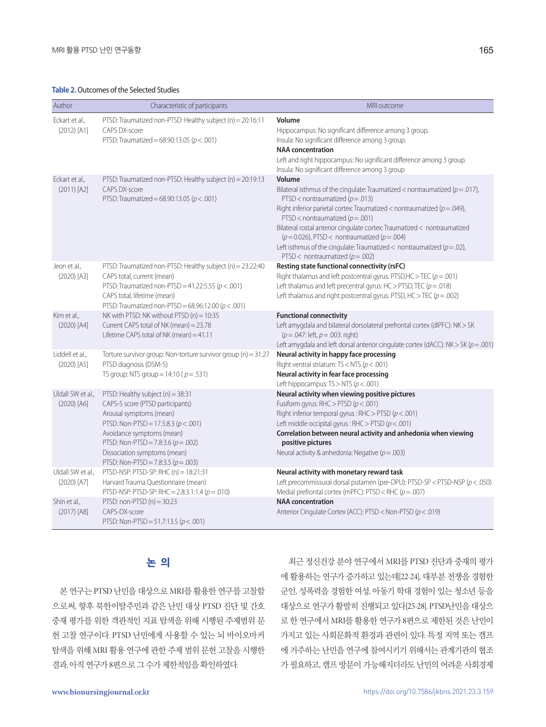#### **Table 2.** Outcomes of the Selected Studies

| Author                             | Characteristic of participants                                                                                                                                                                                                                                                                  | MRI outcome                                                                                                                                                                                                                                                                                                                                                                                                                                                                                                    |
|------------------------------------|-------------------------------------------------------------------------------------------------------------------------------------------------------------------------------------------------------------------------------------------------------------------------------------------------|----------------------------------------------------------------------------------------------------------------------------------------------------------------------------------------------------------------------------------------------------------------------------------------------------------------------------------------------------------------------------------------------------------------------------------------------------------------------------------------------------------------|
| Eckart et al.,<br>$(2012)$ [A1]    | PTSD: Traumatized non-PTSD: Healthy subject (n) = 20:16:11<br>CAPS DX-score<br>PTSD: Traumatized = 68.90:13.05 ( $p < .001$ )                                                                                                                                                                   | Volume<br>Hippocampus: No significant difference among 3 group.<br>Insula: No significant difference among 3 group.<br><b>NAA</b> concentration<br>Left and right hippocampus: No significant difference among 3 group.<br>Insula: No significant difference among 3 group                                                                                                                                                                                                                                     |
| Eckart et al.,<br>$(2011)$ [A2]    | PTSD: Traumatized non-PTSD: Healthy subject (n) = 20:19:13<br>CAPS DX-score<br>PTSD: Traumatized = 68.90:13.05 ( $p < .001$ )                                                                                                                                                                   | Volume<br>Bilateral isthmus of the cingulate: Traumatized < nontraumatized ( $p = .017$ ),<br>PTSD < nontraumatized ( $p = .013$ )<br>Right inferior parietal cortex: Traumatized < nontraumatized ( $p = .049$ ),<br>PTSD < nontraumatized ( $p = .001$ )<br>Bilateral rostal anterior cingulate cortex: Traumatized < nontraumatized<br>$(p=0.026)$ , PTSD < nontraumatized $(p=.004)$<br>Left isthmus of the cingulate: Traumatized < nontraumatized ( $p = .02$ ),<br>PTSD < nontraumatized ( $p = .002$ ) |
| Jeon et al.,<br>$(2020)$ [A3]      | PTSD: Traumatized non-PTSD: Healthy subject (n) = 23:22:40<br>CAPS total, current (mean)<br>PTSD: Traumatized non-PTSD = 41.22:5.55 ( $p < .001$ )<br>CAPS total, lifetime (mean)<br>PTSD: Traumatized non-PTSD = 68.96:12.00 ( $p < .001$ )                                                    | Resting state functional connectivity (rsFC)<br>Right thalamus and left postcentral gyrus: PTSD, HC > TEC ( $p = .001$ )<br>Left thalamus and left precentral gyrus: HC > PTSD, TEC ( $p = .018$ )<br>Left thalamus and right postcentral gyrus: PTSD, HC > TEC ( $p = .002$ )                                                                                                                                                                                                                                 |
| Kim et al.,<br>$(2020)$ [A4]       | NK with PTSD: NK without PTSD (n) = 10:35<br>Current CAPS total of NK (mean) = 23.78<br>Lifetime CAPS total of NK (mean) = 41.11                                                                                                                                                                | <b>Functional connectivity</b><br>Left amygdala and bilateral dorsolateral prefrontal cortex (dlPFC): NK > SK<br>$(p = .047$ : left, $p = .003$ : right)<br>Left amygdala and left dorsal anterior cingulate cortex (dACC): NK > SK ( $p = .001$ )                                                                                                                                                                                                                                                             |
| Liddell et al.,<br>$(2020)$ [A5]   | Torture survivor group: Non-torture survivor group (n) = $31:27$<br>PTSD diagnosis (DSM-5)<br>TS group: NTS group = 14:10 ( $p = .531$ )                                                                                                                                                        | Neural activity in happy face processing<br>Right ventral striatum: TS < NTS ( $p$ < .001)<br>Neural activity in fear face processing<br>Left hippocampus: $TS > NTS (p < .001)$                                                                                                                                                                                                                                                                                                                               |
| Uldall SW et al.,<br>$(2020)$ [A6] | PTSD: Healthy subject (n) = 38:31<br>CAPS-5 score (PTSD participants)<br>Arousal symptoms (mean)<br>PTSD: Non-PTSD = 17.5:8.3 ( $p < .001$ )<br>Avoidance symptoms (mean)<br>PTSD: Non-PTSD = 7.8:3.6 ( $p = .002$ )<br>Dissociation symptoms (mean)<br>PTSD: Non-PTSD = 7.8:3.5 ( $p = .003$ ) | Neural activity when viewing positive pictures<br>Fusiform gyrus: RHC > PTSD ( $p < .001$ )<br>Right inferior temporal gyrus: $RHC > PTSD (p < .001)$<br>Left middle occipital gyrus: $RHC > PTSD (p < .001)$<br>Correlation between neural activity and anhedonia when viewing<br>positive pictures<br>Neural activity & anhedonia: Negative ( $p = .003$ )                                                                                                                                                   |
| Uldall SW et al.,<br>$(2020)$ [A7] | PTSD-NSP: PTSD-SP: RHC (n) = 18:21:31<br>Harvard Trauma Questionnaire (mean)                                                                                                                                                                                                                    | Neural activity with monetary reward task<br>Left precommissural dorsal putamen (pre-DPU): PTSD-SP < PTSD-NSP (p < .050)                                                                                                                                                                                                                                                                                                                                                                                       |
| Shin et al.,<br>$(2017)$ [A8]      | PTSD-NSP: PTSD-SP: RHC = 2.8:3.1:1.4 ( $p = .010$ )<br>PTSD: non-PTSD $(n) = 30:23$<br>CAPS-DX-score<br>PTSD: Non-PTSD = 51.7:13.5 ( $p < .001$ )                                                                                                                                               | Medial prefrontal cortex (mPFC): $PTSD < RHC$ ( $p = .007$ )<br><b>NAA</b> concentration<br>Anterior Cingulate Cortex (ACC): PTSD < Non-PTSD (p < .019)                                                                                                                                                                                                                                                                                                                                                        |

# **논 의**

본 연구는 PTSD 난민을 대상으로 MRI를 활용한 연구를 고찰함 으로써, 향후 북한이탈주민과 같은 난민 대상 PTSD 진단 및 간호 중재 평가를 위한 객관적인 지표 탐색을 위해 시행된 주제범위 문 헌 고찰 연구이다. PTSD 난민에게 사용할 수 있는 뇌 바이오마커 탐색을 위해 MRI 활용 연구에 관한 주제 범위 문헌 고찰을 시행한 결과, 아직 연구가 8편으로 그 수가 제한적임을 확인하였다.

최근 정신건강 분야 연구에서 MRI를 PTSD 진단과 중재의 평가 에 활용하는 연구가 증가하고 있는데[22-24], 대부분 전쟁을 경험한 군인, 성폭력을 경험한 여성, 아동기 학대 경험이 있는 청소년 등을 대상으로 연구가 활발히 진행되고 있다[25-28]. PTSD난민을 대상으 로 한 연구에서 MRI를 활용한 연구가 8편으로 제한된 것은 난민이 가지고 있는 사회문화적 환경과 관련이 있다. 특정 지역 또는 캠프 에 거주하는 난민을 연구에 참여시키기 위해서는 관계기관의 협조 가 필요하고, 캠프 방문이 가능해지더라도 난민의 어려운 사회경제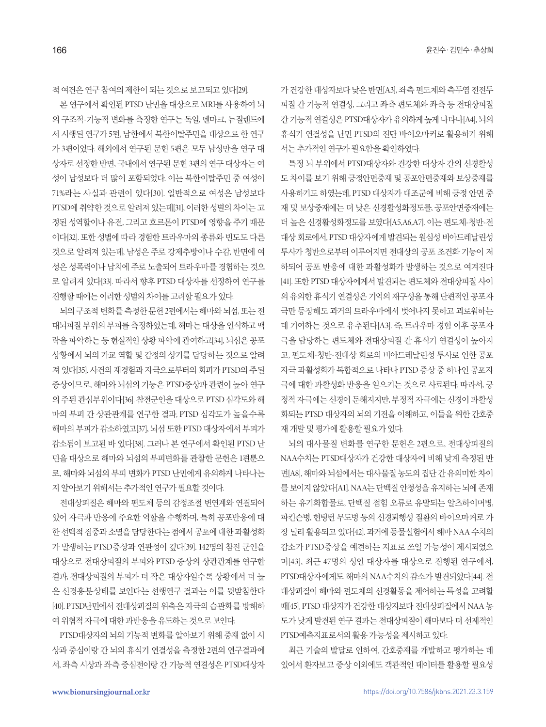적 여건은 연구 참여의 제한이 되는 것으로 보고되고 있다[29].

본 연구에서 확인된 PTSD 난민을 대상으로 MRI를 사용하여 뇌 의 구조적·기능적 변화를 측정한 연구는 독일, 덴마크, 뉴질랜드에 서 시행된 연구가 5편, 남한에서 북한이탈주민을 대상으로 한 연구 가 3편이었다. 해외에서 연구된 문헌 5편은 모두 남성만을 연구 대 상자로 선정한 반면, 국내에서 연구된 문헌 3편의 연구 대상자는 여 성이 남성보다 더 많이 포함되었다. 이는 북한이탈주민 중 여성이 71%라는 사실과 관련이 있다[30]. 일반적으로 여성은 남성보다 PTSD에취약한것으로알려져있는데[31], 이러한성별의차이는고 정된 성역할이나 유전, 그리고 호르몬이 PTSD에 영향을 주기 때문 이다[32]. 또한 성별에 따라 경험한 트라우마의 종류와 빈도도 다른 것으로 알려져 있는데, 남성은 주로 강제추방이나 수감, 반면에 여 성은 성폭력이나 납치에 주로 노출되어 트라우마를 경험하는 것으 로 알려져 있다[33]. 따라서 향후 PTSD 대상자를 선정하여 연구를 진행할때에는이러한성별의차이를고려할필요가있다.

뇌의 구조적 변화를 측정한 문헌 2편에서는 해마와 뇌섬, 또는 전 대뇌피질 부위의 부피를 측정하였는데, 해마는 대상을 인식하고 맥 락을 파악하는 등 현실적인 상황 파악에 관여하고[34], 뇌섬은 공포 상황에서 뇌의 가교 역할 및 감정의 상기를 담당하는 것으로 알려 져 있다[35]. 사건의 재경험과 자극으로부터의 회피가 PTSD의 주된 증상이므로, 해마와 뇌섬의 기능은 PTSD증상과 관련이 높아 연구 의 주된 관심부위이다[36]. 참전군인을 대상으로 PTSD 심각도와 해 마의 부피 간 상관관계를 연구한 결과, PTSD 심각도가 높을수록 해마의 부피가 감소하였고[37], 뇌섬 또한 PTSD 대상자에서 부피가 감소됨이 보고된 바 있다[38]. 그러나 본 연구에서 확인된 PTSD 난 민을 대상으로 해마와 뇌섬의 부피변화를 관찰한 문헌은 1편뿐으 로, 해마와 뇌섬의 부피 변화가 PTSD 난민에게 유의하게 나타나는 지 알아보기 위해서는 추가적인 연구가 필요할 것이다.

전대상피질은 해마와 편도체 등의 감정조절 변연계와 연결되어 있어 자극과 반응에 주요한 역할을 수행하며, 특히 공포반응에 대 한 선택적 집중과 소멸을 담당한다는 점에서 공포에 대한 과활성화 가 발생하는 PTSD증상과 연관성이 깊다[39]. 142명의 참전 군인을 대상으로 전대상피질의 부피와 PTSD 증상의 상관관계를 연구한 결과, 전대상피질의 부피가 더 작은 대상자일수록 상황에서 더 높 은 신경흥분상태를 보인다는 선행연구 결과는 이를 뒷받침한다 [40]. PTSD난민에서 전대상피질의 위축은 자극의 습관화를 방해하 여 위협적 자극에 대한 과반응을 유도하는 것으로 보인다.

PTSD대상자의 뇌의 기능적 변화를 알아보기 위해 중재 없이 시 상과 중심이랑 간 뇌의 휴식기 연결성을 측정한 2편의 연구결과에 서, 좌측 시상과 좌측 중심전이랑 간 기능적 연결성은 PTSD대상자 가 거강한 대상자보다 낮은 반면[A3], 좌측 편도체와 측두엽 전전두 피질 간 기능적 연결성, 그리고 좌측 편도체와 좌측 등 전대상피질 간 기능적 연결성은 PTSD대상자가 유의하게 높게 나타나[A4], 뇌의 휴식기 연결성을 난민 PTSD의 진단 바이오마커로 활용하기 위해 서는 추가적인 연구가 필요함을 확인하였다.

특정 뇌 부위에서 PTSD대상자와 건강한 대상자 간의 신경활성 도 차이를 보기 위해 긍정안면중재 및 공포안면중재와 보상중재를 사용하기도 하였는데, PTSD 대상자가 대조군에 비해 긍정 안면 중 재 및 보상중재에는 더 낮은 신경활성화정도를, 공포안면중재에는 더 높은 신경활성화정도를 보였다[A5,A6,A7]. 이는 편도체-청반-전 대상 회로에서, PTSD 대상자에게 발견되는 원심성 비아드레날린성 투사가 청반으로부터 이루어지면 전대상의 공포 조건화 기능이 저 하되어 공포 반응에 대한 과활성화가 발생하는 것으로 여겨진다 [41]. 또한 PTSD 대상자에게서 발견되는 편도체와 전대상피질 사이 의 유의한 휴식기 연결성은 기억의 재구성을 통해 단편적인 공포자 극만 등장해도 과거의 트라우마에서 벗어나지 못하고 괴로워하는 데 기여하는 것으로 유추된다[A3]. 즉, 트라우마 경험 이후 공포자 극을 담당하는 편도체와 전대상피질 간 휴식기 연결성이 높아지 고, 편도체-청반-전대상 회로의 비아드레날린성 투사로 인한 공포 자극 과활성화가 복합적으로 나타나 PTSD 증상 중 하나인 공포자 극에 대한 과활성화 반응을 일으키는 것으로 사료된다. 따라서, 긍 정적자극에는신경이둔해지지만, 부정적자극에는신경이과활성 화되는 PTSD 대상자의 뇌의 기전을 이해하고, 이들을 위한 간호중 재개발및평가에활용할필요가있다.

뇌의 대사물질 변화를 연구한 문헌은 2편으로, 전대상피질의 NAA수치는 PTSD대상자가 건강한 대상자에 비해 낮게 측정된 반 면[A8], 해마와 뇌섬에서는 대사물질 농도의 집단 간 유의미한 차이 를 보이지 않았다[A1]. NAA는 단백질 안정성을 유지하는 뇌에 존재 하는 유기화합물로, 단백질 접힘 오류로 유발되는 알츠하이머병, 파킨슨병, 헌팅턴 무도병 등의 신경퇴행성 질환의 바이오마커로 가 장 널리 활용되고 있다[42]. 과거에 동물실험에서 해마 NAA 수치의 감소가 PTSD증상을 예견하는 지표로 쓰일 가능성이 제시되었으 며[43], 최근 47명의 성인 대상자를 대상으로 진행된 연구에서, PTSD대상자에게도 해마의 NAA수치의 감소가 발견되었다[44]. 전 대상피질이 해마와 편도체의 신경활동을 제어하는 특성을 고려할 때[45], PTSD 대상자가 건강한 대상자보다 전대상피질에서 NAA 농 도가 낮게 발견된 연구 결과는 전대상피질이 해마보다 더 선제적인 PTSD예측지표로서의활용가능성을제시하고있다.

최근 기술의 발달로 인하여, 간호중재를 개발하고 평가하는 데 있어서 환자보고 증상 이외에도 객관적인 데이터를 활용할 필요성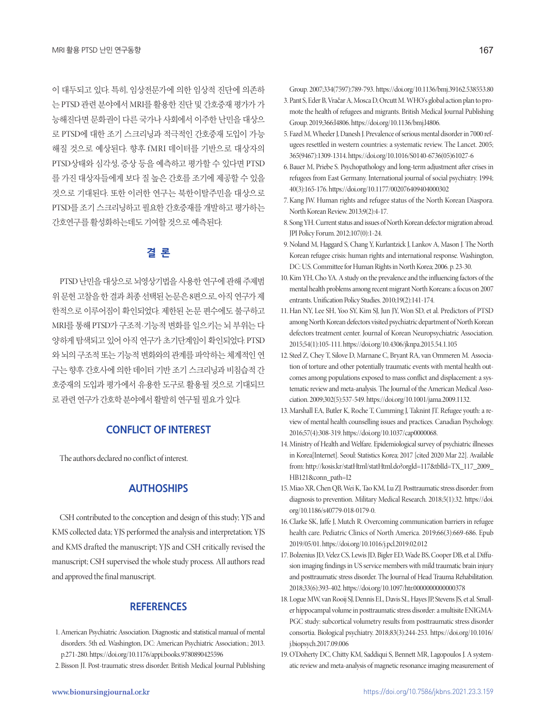이 대두되고 있다. 특히, 임상전문가에 의한 임상적 진단에 의존하 는 PTSD 관련 분야에서 MRI를 활용한 진단 및 간호중재 평가가 가 능해진다면 문화권이 다른 국가나 사회에서 이주한 난민을 대상으 로 PTSD에 대한 조기 스크리닝과 적극적인 간호중재 도입이 가능 해질 것으로 예상된다. 향후 fMRI 데이터를 기반으로 대상자의 PTSD상태와 심각성, 증상 등을 예측하고 평가할 수 있다면 PTSD 를 가진 대상자들에게 보다 질 높은 간호를 조기에 제공할 수 있을 것으로 기대된다. 또한 이러한 연구는 북한이탈주민을 대상으로 PTSD를 조기 스크리닝하고 필요한 간호중재를 개발하고 평가하는 간호연구를활성화하는데도기여할것으로예측된다.

# **결 론**

PTSD 난민을 대상으로 뇌영상기법을 사용한 연구에 관해 주제범 위문헌고찰을한결과최종선택된논문은 8편으로, 아직연구가제 한적으로 이루어짐이 확인되었다. 제한된 논문 편수에도 불구하고 MRI를 통해 PTSD가 구조적·기능적 변화를 일으키는 뇌 부위는 다 양하게 탐색되고 있어 아직 연구가 초기단계임이 확인되었다. PTSD 와 뇌의 구조적 또는 기능적 변화와의 관계를 파악하는 체계적인 연 구는 향후 간호사에 의한 데이터 기반 조기 스크리닝과 비침습적 간 호중재의 도입과 평가에서 유용한 도구로 활용될 것으로 기대되므 로 관련 연구가 간호학 부야에서 활발히 연구될 필요가 있다.

# **CONFLICT OF INTEREST**

The authors declared no conflict of interest.

# **AUTHOSHIPS**

CSH contributed to the conception and design of this study; YJS and KMS collected data; YJS performed the analysis and interpretation; YJS and KMS drafted the manuscript; YJS and CSH critically revised the manuscript; CSH supervised the whole study process. All authors read and approved the final manuscript.

# **REFERENCES**

- 1. American Psychiatric Association. Diagnostic and statistical manual of mental disorders. 5th ed. Washington, DC: American Psychiatric Association.; 2013. p.271-280. https://doi.org/10.1176/appi.books.9780890425596
- 2. Bisson JI. Post-traumatic stress disorder. British Medical Journal Publishing

Group. 2007;334(7597):789-793. https://doi.org/10.1136/bmj.39162.538553.80

- 3. Pant S, Eder B, Vračar A, Mosca D, Orcutt M. WHO's global action plan to promote the health of refugees and migrants. British Medical Journal Publishing Group. 2019;366:l4806. https://doi.org/10.1136/bmj.l4806.
- 5. Fazel M, Wheeler J, Danesh J. Prevalence of serious mental disorder in 7000 refugees resettled in western countries: a systematic review. The Lancet. 2005; 365(9467):1309-1314. https://doi.org/10.1016/S0140-6736(05)61027-6
- 6. Bauer M, Priebe S. Psychopathology and long-term adjustment after crises in refugees from East Germany. International journal of social psychiatry. 1994; 40(3):165-176. https://doi.org/10.1177/002076409404000302
- 7. Kang JW. Human rights and refugee status of the North Korean Diaspora. North Korean Review. 2013;9(2):4-17.
- 8. Song YH. Current status and issues of North Korean defector migration abroad. JPI Policy Forum. 2012;107(0):1-24.
- 9. Noland M, Haggard S, Chang Y, Kurlantzick J, Lankov A, Mason J. The North Korean refugee crisis: human rights and international response. Washington, DC: U.S. Committee for Human Rights in North Korea; 2006. p. 23-30.
- 10. Kim YH, Cho YA. A study on the prevalence and the influencing factors of the mental health problems among recent migrant North Koreans: a focus on 2007 entrants. Unification Policy Studies. 2010;19(2):141-174.
- 11. Han NY, Lee SH, Yoo SY, Kim SJ, Jun JY, Won SD, et al. Predictors of PTSD among North Korean defectors visited psychiatric department of North Korean defectors treatment center. Journal of Korean Neuropsychiatric Association. 2015;54(1):105-111. https://doi.org/10.4306/jknpa.2015.54.1.105
- 12. Steel Z, Chey T, Silove D, Marnane C, Bryant RA, van Ommeren M. Association of torture and other potentially traumatic events with mental health outcomes among populations exposed to mass conflict and displacement: a systematic review and meta-analysis. The Journal of the American Medical Association. 2009;302(5):537-549. https://doi.org/10.1001/jama.2009.1132.
- 13. Marshall EA, Butler K, Roche T, Cumming J, Taknint JT. Refugee youth: a review of mental health counselling issues and practices. Canadian Psychology. 2016;57(4):308-319. https://doi.org/10.1037/cap0000068.
- 14. Ministry of Health and Welfare. Epidemiological survey of psychiatric illnesses in Korea[Internet]. Seoul: Statistics Korea; 2017 [cited 2020 Mar 22]. Available from: http://kosis.kr/statHtml/statHtml.do?orgId=117&tblId=TX\_117\_2009\_ HB121&conn\_path=I2
- 15. Miao XR, Chen QB, Wei K, Tao KM, Lu ZJ. Posttraumatic stress disorder: from diagnosis to prevention. Military Medical Research. 2018;5(1):32. https://doi. org/10.1186/s40779-018-0179-0.
- 16. Clarke SK, Jaffe J, Mutch R. Overcoming communication barriers in refugee health care. Pediatric Clinics of North America. 2019;66(3):669-686. Epub 2019/05/01. https://doi.org/10.1016/j.pcl.2019.02.012
- 17. Bolzenius JD, Velez CS, Lewis JD, Bigler ED, Wade BS, Cooper DB, et al. Diffusion imaging findings in US service members with mild traumatic brain injury and posttraumatic stress disorder. The Journal of Head Trauma Rehabilitation. 2018;33(6):393-402. https://doi.org/10.1097/htr.0000000000000378
- 18. Logue MW, van Rooij SJ, Dennis EL, Davis SL, Hayes JP, Stevens JS, et al. Smaller hippocampal volume in posttraumatic stress disorder: a multisite ENIGMA-PGC study: subcortical volumetry results from posttraumatic stress disorder consortia. Biological psychiatry. 2018;83(3):244-253. https://doi.org/10.1016/ j.biopsych.2017.09.006
- 19. O'Doherty DC, Chitty KM, Saddiqui S, Bennett MR, Lagopoulos J. A systematic review and meta-analysis of magnetic resonance imaging measurement of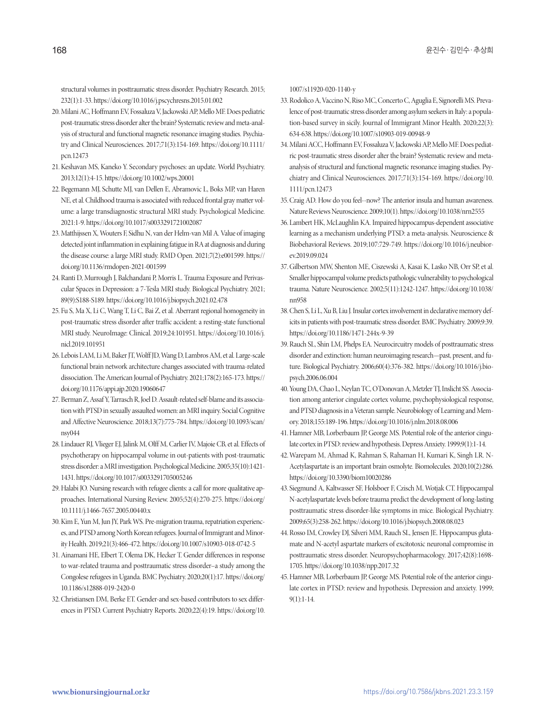structural volumes in posttraumatic stress disorder. Psychiatry Research. 2015; 232(1):1-33. https://doi.org/10.1016/j.pscychresns.2015.01.002

- 20. Milani AC, Hoffmann EV, Fossaluza V, Jackowski AP, Mello MF. Does pediatric post-traumatic stress disorder alter the brain? Systematic review and meta-analysis of structural and functional magnetic resonance imaging studies. Psychiatry and Clinical Neurosciences. 2017;71(3):154-169. https://doi.org/10.1111/ pcn.12473
- 21. Keshavan MS, Kaneko Y. Secondary psychoses: an update. World Psychiatry. 2013;12(1):4-15. https://doi.org/10.1002/wps.20001
- 22. Begemann MJ, Schutte MJ, van Dellen E, Abramovic L, Boks MP, van Haren NE, et al. Childhood trauma is associated with reduced frontal gray matter volume: a large transdiagnostic structural MRI study. Psychological Medicine. 2021:1-9. https://doi.org/10.1017/s0033291721002087
- 23. Matthijssen X, Wouters F, Sidhu N, van der Helm-van Mil A. Value of imaging detected joint inflammation in explaining fatigue in RA at diagnosis and during the disease course: a large MRI study. RMD Open. 2021;7(2):e001599. https:// doi.org/10.1136/rmdopen-2021-001599
- 24. Ranti D, Murrough J, Balchandani P, Morris L. Trauma Exposure and Perivascular Spaces in Depression: a 7-Tesla MRI study. Biological Psychiatry. 2021; 89(9):S188-S189. https://doi.org/10.1016/j.biopsych.2021.02.478
- 25. Fu S, Ma X, Li C, Wang T, Li C, Bai Z, et al. Aberrant regional homogeneity in post-traumatic stress disorder after traffic accident: a resting-state functional MRI study. NeuroImage: Clinical. 2019;24:101951. https://doi.org/10.1016/j. nicl.2019.101951
- 26. Lebois LAM, Li M, Baker JT, Wolff JD, Wang D, Lambros AM, et al. Large-scale functional brain network architecture changes associated with trauma-related dissociation. The American Journal of Psychiatry. 2021;178(2):165-173. https:// doi.org/10.1176/appi.ajp.2020.19060647
- 27. Berman Z, Assaf Y, Tarrasch R, Joel D. Assault-related self-blame and its association with PTSD in sexually assaulted women: an MRI inquiry. Social Cognitive and Affective Neuroscience. 2018;13(7):775-784. https://doi.org/10.1093/scan/ nsy044
- 28. Lindauer RJ, Vlieger EJ, Jalink M, Olff M, Carlier IV, Majoie CB, et al. Effects of psychotherapy on hippocampal volume in out-patients with post-traumatic stress disorder: a MRI investigation. Psychological Medicine. 2005;35(10):1421- 1431. https://doi.org/10.1017/s0033291705005246
- 29. Halabi JO. Nursing research with refugee clients: a call for more qualitative approaches. International Nursing Review. 2005;52(4):270-275. https://doi.org/ 10.1111/j.1466-7657.2005.00440.x
- 30. Kim E, Yun M, Jun JY, Park WS. Pre-migration trauma, repatriation experiences, and PTSD among North Korean refugees. Journal of Immigrant and Minority Health. 2019;21(3):466-472. https://doi.org/10.1007/s10903-018-0742-5
- 31. Ainamani HE, Elbert T, Olema DK, Hecker T. Gender differences in response to war-related trauma and posttraumatic stress disorder–a study among the Congolese refugees in Uganda. BMC Psychiatry. 2020;20(1):17. https://doi.org/ 10.1186/s12888-019-2420-0
- 32. Christiansen DM, Berke ET. Gender-and sex-based contributors to sex differences in PTSD. Current Psychiatry Reports. 2020;22(4):19. https://doi.org/10.

1007/s11920-020-1140-y

- 33. Rodolico A, Vaccino N, Riso MC, Concerto C, Aguglia E, Signorelli MS. Prevalence of post-traumatic stress disorder among asylum seekers in Italy: a population-based survey in sicily. Journal of Immigrant Minor Health. 2020;22(3): 634-638. https://doi.org/10.1007/s10903-019-00948-9
- 34. Milani ACC, Hoffmann EV, Fossaluza V, Jackowski AP, Mello MF. Does pediatric post-traumatic stress disorder alter the brain? Systematic review and metaanalysis of structural and functional magnetic resonance imaging studies. Psychiatry and Clinical Neurosciences. 2017;71(3):154-169. https://doi.org/10. 1111/pcn.12473
- 35. Craig AD. How do you feel--now? The anterior insula and human awareness. Nature Reviews Neuroscience. 2009;10(1). https://doi.org/10.1038/nrn2555
- 36. Lambert HK, McLaughlin KA. Impaired hippocampus-dependent associative learning as a mechanism underlying PTSD: a meta-analysis. Neuroscience & Biobehavioral Reviews. 2019;107:729-749. https://doi.org/10.1016/j.neubiorev.2019.09.024
- 37. Gilbertson MW, Shenton ME, Ciszewski A, Kasai K, Lasko NB, Orr SP, et al. Smaller hippocampal volume predicts pathologic vulnerability to psychological trauma. Nature Neuroscience. 2002;5(11):1242-1247. https://doi.org/10.1038/ nn958
- 38. Chen S, Li L, Xu B, Liu J. Insular cortex involvement in declarative memory deficits in patients with post-traumatic stress disorder. BMC Psychiatry. 2009;9:39. https://doi.org/10.1186/1471-244x-9-39
- 39. Rauch SL, Shin LM, Phelps EA. Neurocircuitry models of posttraumatic stress disorder and extinction: human neuroimaging research—past, present, and future. Biological Psychiatry. 2006;60(4):376-382. https://doi.org/10.1016/j.biopsych.2006.06.004
- 40. Young DA, Chao L, Neylan TC, O'Donovan A, Metzler TJ, Inslicht SS. Association among anterior cingulate cortex volume, psychophysiological response, and PTSD diagnosis in a Veteran sample. Neurobiology of Learning and Memory. 2018;155:189-196. https://doi.org/10.1016/j.nlm.2018.08.006
- 41. Hamner MB, Lorberbaum JP, George MS. Potential role of the anterior cingulate cortex in PTSD: review and hypothesis. Depress Anxiety. 1999;9(1):1-14.
- 42. Warepam M, Ahmad K, Rahman S, Rahaman H, Kumari K, Singh LR. N-Acetylaspartate is an important brain osmolyte. Biomolecules. 2020;10(2):286. https://doi.org/10.3390/biom10020286
- 43. Siegmund A, Kaltwasser SF, Holsboer F, Czisch M, Wotjak CT. Hippocampal N-acetylaspartate levels before trauma predict the development of long-lasting posttraumatic stress disorder-like symptoms in mice. Biological Psychiatry. 2009;65(3):258-262. https://doi.org/10.1016/j.biopsych.2008.08.023
- 44. Rosso IM, Crowley DJ, Silveri MM, Rauch SL, Jensen JE. Hippocampus glutamate and N-acetyl aspartate markers of excitotoxic neuronal compromise in posttraumatic stress disorder. Neuropsychopharmacology. 2017;42(8):1698- 1705. https://doi.org/10.1038/npp.2017.32
- 45. Hamner MB, Lorberbaum JP, George MS. Potential role of the anterior cingulate cortex in PTSD: review and hypothesis. Depression and anxiety. 1999; 9(1):1-14.